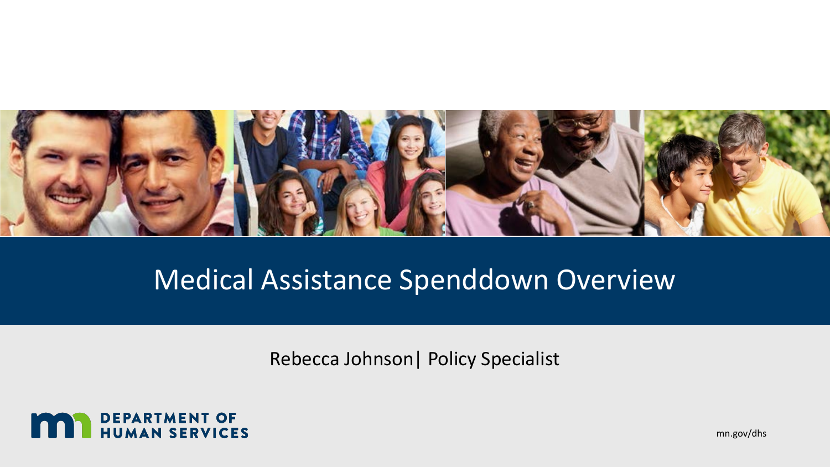

### Medical Assistance Spenddown Overview

Rebecca Johnson| Policy Specialist



mn.gov/dhs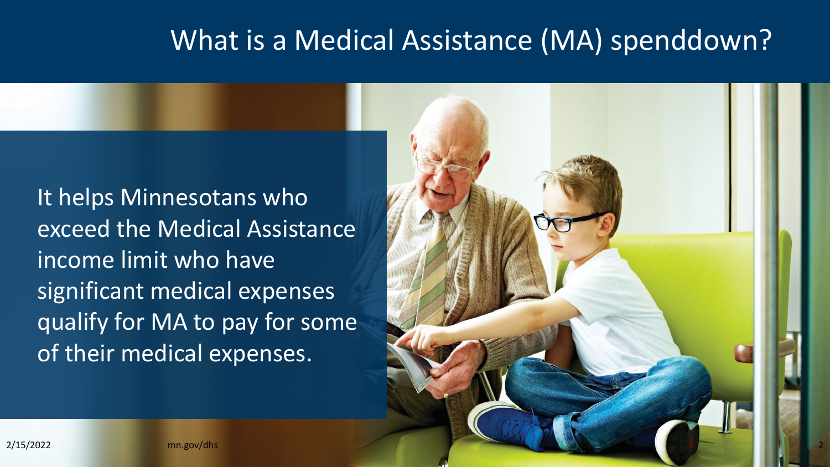#### What is a Medical Assistance (MA) spenddown?

It helps Minnesotans who exceed the Medical Assistance income limit who have significant medical expenses qualify for MA to pay for some of their medical expenses.

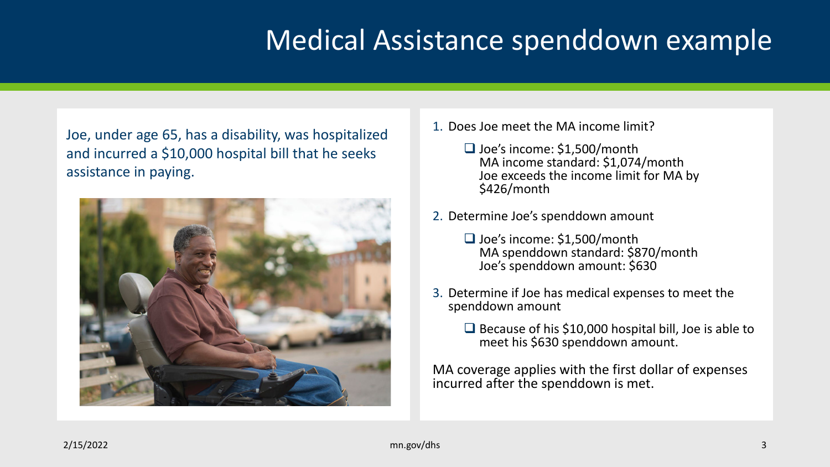# Medical Assistance spenddown example

Joe, under age 65, has a disability, was hospitalized and incurred a \$10,000 hospital bill that he seeks assistance in paying.



- 1. Does Joe meet the MA income limit?
	- $\Box$  Joe's income: \$1,500/month MA income standard: \$1,074/month Joe exceeds the income limit for MA by \$426/month
- 2. Determine Joe's spenddown amount
	- □ Joe's income: \$1,500/month MA spenddown standard: \$870/month Joe's spenddown amount: \$630
- 3. Determine if Joe has medical expenses to meet the spenddown amount
	- $\Box$  Because of his \$10,000 hospital bill, Joe is able to meet his \$630 spenddown amount.

MA coverage applies with the first dollar of expenses incurred after the spenddown is met.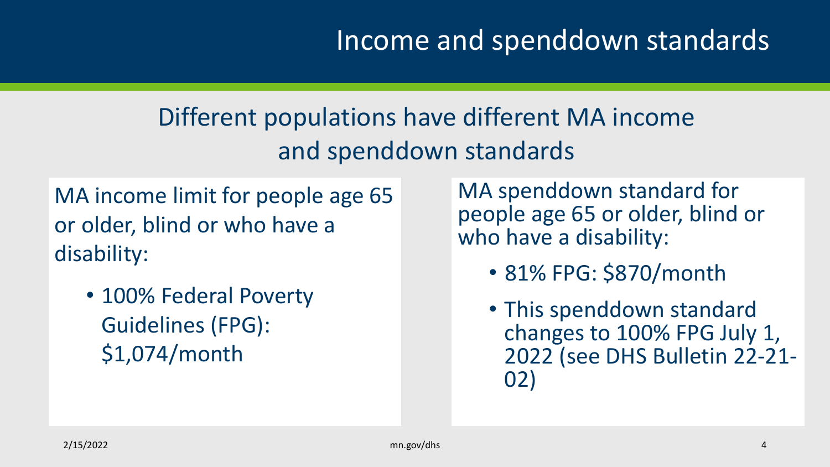#### Different populations have different MA income and spenddown standards

MA income limit for people age 65 or older, blind or who have a disability:

• 100% Federal Poverty Guidelines (FPG): \$1,074/month

MA spenddown standard for people age 65 or older, blind or who have a disability:

- 81% FPG: \$870/month
- This spenddown standard changes to 100% FPG July 1, 2022 (see DHS Bulletin 22-21- 02)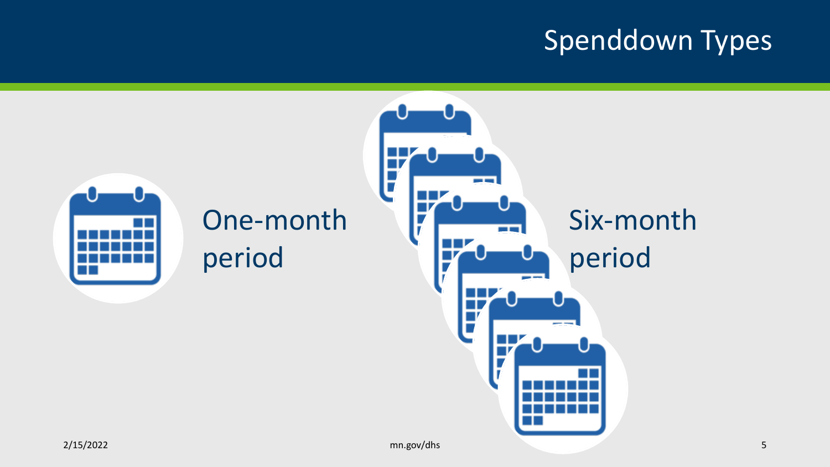# Spenddown Types